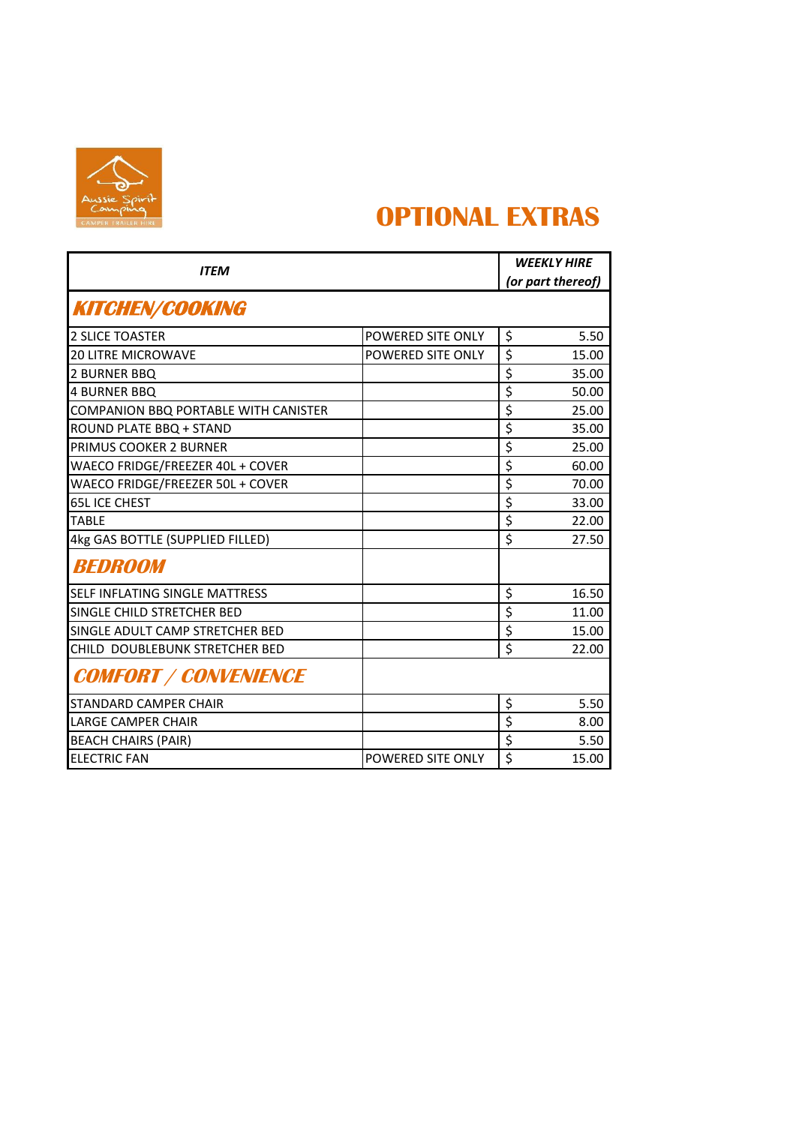

## **OPTIONAL EXTRAS**

| <b>ITEM</b>                                 |                   | <b>WEEKLY HIRE</b><br>(or part thereof)      |
|---------------------------------------------|-------------------|----------------------------------------------|
| <b>KITCHEN/COOKING</b>                      |                   |                                              |
| <b>2 SLICE TOASTER</b>                      | POWERED SITE ONLY | \$<br>5.50                                   |
| <b>20 LITRE MICROWAVE</b>                   | POWERED SITE ONLY | \$<br>15.00                                  |
| 2 BURNER BBQ                                |                   | \$<br>35.00                                  |
| <b>4 BURNER BBQ</b>                         |                   | \$<br>50.00                                  |
| <b>COMPANION BBQ PORTABLE WITH CANISTER</b> |                   | \$<br>25.00                                  |
| ROUND PLATE BBQ + STAND                     |                   | \$<br>35.00                                  |
| PRIMUS COOKER 2 BURNER                      |                   | \$<br>25.00                                  |
| WAECO FRIDGE/FREEZER 40L + COVER            |                   | $\overline{\boldsymbol{\varsigma}}$<br>60.00 |
| WAECO FRIDGE/FREEZER 50L + COVER            |                   | \$<br>70.00                                  |
| <b>65L ICE CHEST</b>                        |                   | \$<br>33.00                                  |
| <b>TABIF</b>                                |                   | \$<br>22.00                                  |
| 4kg GAS BOTTLE (SUPPLIED FILLED)            |                   | \$<br>27.50                                  |
| <b>BEDROOM</b>                              |                   |                                              |
| SELF INFLATING SINGLE MATTRESS              |                   | \$<br>16.50                                  |
| SINGLE CHILD STRETCHER BED                  |                   | \$<br>11.00                                  |
| SINGLE ADULT CAMP STRETCHER BED             |                   | \$<br>15.00                                  |
| CHILD DOUBLEBUNK STRETCHER BED              |                   | \$<br>22.00                                  |
| <b>COMFORT / CONVENIENCE</b>                |                   |                                              |
| <b>STANDARD CAMPER CHAIR</b>                |                   | \$<br>5.50                                   |
| <b>LARGE CAMPER CHAIR</b>                   |                   | \$<br>8.00                                   |
| <b>BEACH CHAIRS (PAIR)</b>                  |                   | \$<br>5.50                                   |
| <b>ELECTRIC FAN</b>                         | POWERED SITE ONLY | \$<br>15.00                                  |